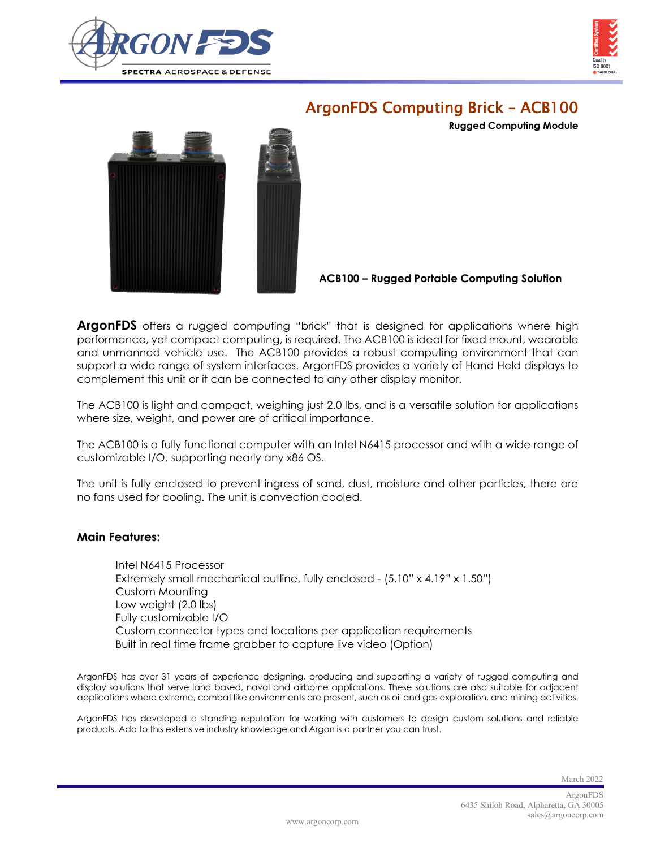



## ArgonFDS Computing Brick – ACB100

**Rugged Computing Module**



**ACB100 – Rugged Portable Computing Solution**

**ArgonFDS** offers a rugged computing "brick" that is designed for applications where high performance, yet compact computing, is required. The ACB100 is ideal for fixed mount, wearable and unmanned vehicle use. The ACB100 provides a robust computing environment that can support a wide range of system interfaces. ArgonFDS provides a variety of Hand Held displays to complement this unit or it can be connected to any other display monitor.

The ACB100 is light and compact, weighing just 2.0 lbs, and is a versatile solution for applications where size, weight, and power are of critical importance.

The ACB100 is a fully functional computer with an Intel N6415 processor and with a wide range of customizable I/O, supporting nearly any x86 OS.

The unit is fully enclosed to prevent ingress of sand, dust, moisture and other particles, there are no fans used for cooling. The unit is convection cooled.

## **Main Features:**

Intel N6415 Processor Extremely small mechanical outline, fully enclosed - (5.10" x 4.19" x 1.50") Custom Mounting Low weight (2.0 lbs) Fully customizable I/O Custom connector types and locations per application requirements Built in real time frame grabber to capture live video (Option)

ArgonFDS has over 31 years of experience designing, producing and supporting a variety of rugged computing and display solutions that serve land based, naval and airborne applications. These solutions are also suitable for adjacent applications where extreme, combat like environments are present, such as oil and gas exploration, and mining activities.

ArgonFDS has developed a standing reputation for working with customers to design custom solutions and reliable products. Add to this extensive industry knowledge and Argon is a partner you can trust.

March 2022